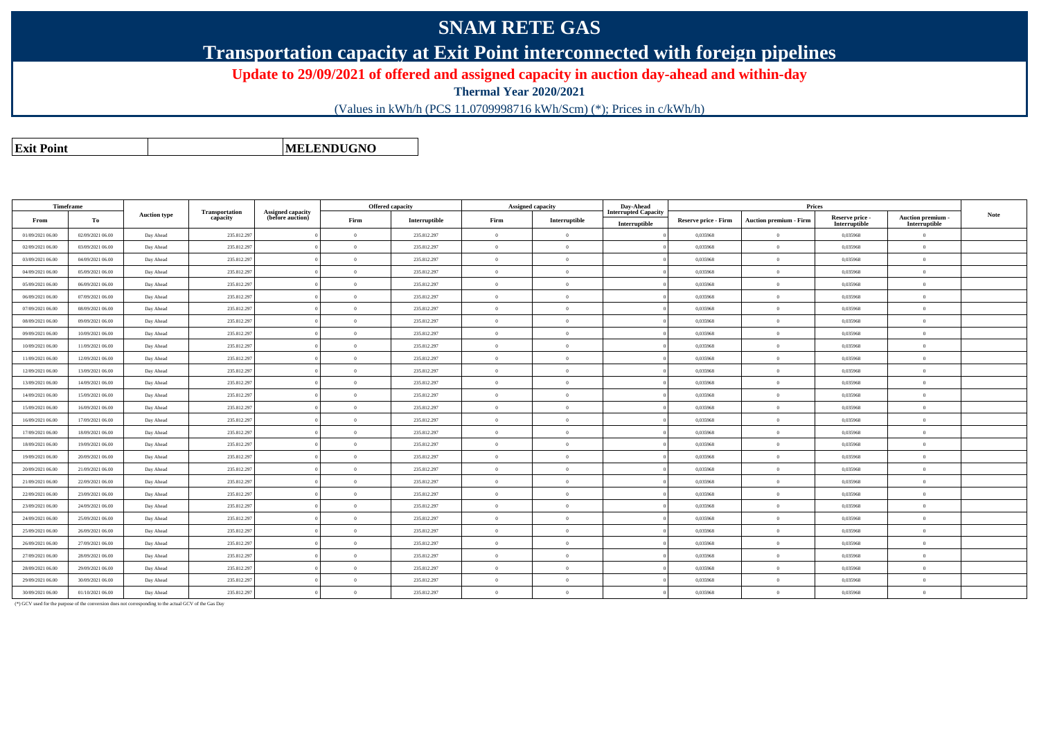## **SNAM RETE GAS**

**Transportation capacity at Exit Point interconnected with foreign pipelines**

**Update to 29/09/2021 of offered and assigned capacity in auction day-ahead and within-day**

**Thermal Year 2020/2021**

(Values in kWh/h (PCS 11.0709998716 kWh/Scm) (\*); Prices in c/kWh/h)

**Exit PointMELENDUGNO**

|                  | <b>Timeframe</b> | <b>Auction type</b> |                                   |                                              | <b>Offered capacity</b> |               |                | <b>Assigned capacity</b> | Day-Ahead                                    |                             |                               |                                  |                                                                                   |             |
|------------------|------------------|---------------------|-----------------------------------|----------------------------------------------|-------------------------|---------------|----------------|--------------------------|----------------------------------------------|-----------------------------|-------------------------------|----------------------------------|-----------------------------------------------------------------------------------|-------------|
| From             | То               |                     | <b>Transportation</b><br>capacity | <b>Assigned capacity</b><br>(before auction) | Firm                    | Interruptible | Firm           | Interruptible            | <b>Interrupted Capacity</b><br>Interruptible | <b>Reserve price - Firm</b> | <b>Auction premium - Firm</b> | Reserve price -<br>Interruptible | $\begin{array}{c} \textbf{Auction premium} \\ \textbf{Interruptible} \end{array}$ | <b>Note</b> |
| 01/09/2021 06:00 | 02/09/2021 06:00 | Day Ahead           | 235.812.297                       |                                              | $\overline{0}$          | 235.812.297   | $\Omega$       | $\overline{0}$           |                                              | 0,035968                    | $\overline{0}$                | 0,035968                         | $\Omega$                                                                          |             |
| 02/09/2021 06:00 | 03/09/2021 06:00 | Day Ahead           | 235.812.297                       |                                              | $\Omega$                | 235.812.297   | $\Omega$       | $\theta$                 |                                              | 0.035968                    | $\Omega$                      | 0.035968                         | $\overline{0}$                                                                    |             |
| 03/09/2021 06:00 | 04/09/2021 06:00 | Day Ahead           | 235.812.297                       |                                              | $\overline{0}$          | 235.812.297   | $\theta$       | $\theta$                 |                                              | 0,035968                    | $\overline{0}$                | 0,035968                         | $\overline{0}$                                                                    |             |
| 04/09/2021 06:00 | 05/09/2021 06:00 | Day Ahead           | 235.812.297                       |                                              | $\theta$                | 235.812.297   | $\Omega$       | $\Omega$                 |                                              | 0,035968                    | $\Omega$                      | 0.035968                         | $\overline{0}$                                                                    |             |
| 05/09/2021 06:00 | 06/09/2021 06:00 | Day Ahead           | 235.812.297                       |                                              | $\Omega$                | 235.812.297   | $\Omega$       | $\Omega$                 |                                              | 0,035968                    | $\overline{0}$                | 0,035968                         | $\overline{0}$                                                                    |             |
| 06/09/2021 06:00 | 07/09/2021 06:00 | Day Ahead           | 235.812.297                       |                                              | $\overline{0}$          | 235.812.297   | $\Omega$       | $\theta$                 |                                              | 0.035968                    | $\overline{0}$                | 0.035968                         | $\overline{0}$                                                                    |             |
| 07/09/2021 06:00 | 08/09/2021 06:00 | Day Ahead           | 235.812.297                       |                                              | $\Omega$                | 235.812.297   | $\Omega$       | $\theta$                 |                                              | 0.035968                    | $\theta$                      | 0.035968                         | $\overline{0}$                                                                    |             |
| 08/09/2021 06:00 | 09/09/2021 06:00 | Day Ahead           | 235.812.297                       |                                              | $\overline{0}$          | 235.812.297   | $\Omega$       | $\overline{0}$           |                                              | 0,035968                    | $\overline{0}$                | 0,035968                         | $\overline{0}$                                                                    |             |
| 09/09/2021 06:00 | 10/09/2021 06:00 | Day Ahead           | 235.812.297                       |                                              | $\overline{0}$          | 235.812.297   | $\Omega$       | $\Omega$                 |                                              | 0,035968                    | $\overline{0}$                | 0,035968                         | $\overline{0}$                                                                    |             |
| 10/09/2021 06:00 | 11/09/2021 06:00 | Day Ahead           | 235.812.297                       |                                              | $\overline{0}$          | 235.812.297   | $\overline{0}$ | $\overline{0}$           |                                              | 0.035968                    | $\overline{0}$                | 0.035968                         | $\overline{0}$                                                                    |             |
| 11/09/2021 06:00 | 12/09/2021 06:00 | Day Ahead           | 235.812.297                       |                                              | $\Omega$                | 235.812.297   | $\Omega$       | $\Omega$                 |                                              | 0.035968                    | $\Omega$                      | 0.035968                         | $\overline{0}$                                                                    |             |
| 12/09/2021 06:00 | 13/09/2021 06:00 | Day Ahead           | 235.812.297                       |                                              | $\overline{0}$          | 235.812.297   | $\Omega$       | $\theta$                 |                                              | 0,035968                    | $\overline{0}$                | 0,035968                         | $\overline{0}$                                                                    |             |
| 13/09/2021 06:00 | 14/09/2021 06:00 | Day Ahead           | 235.812.297                       |                                              | $\theta$                | 235.812.297   | $\Omega$       | $\Omega$                 |                                              | 0.035968                    | $\theta$                      | 0.035968                         | $\overline{0}$                                                                    |             |
| 14/09/2021 06:00 | 15/09/2021 06:00 | Day Ahead           | 235.812.297                       |                                              | $\theta$                | 235.812.297   | $\Omega$       | $\Omega$                 |                                              | 0.035968                    | $\Omega$                      | 0.035968                         | $\overline{0}$                                                                    |             |
| 15/09/2021 06:00 | 16/09/2021 06:00 | Day Ahead           | 235.812.297                       |                                              | $\theta$                | 235.812.297   | $\Omega$       | $\overline{0}$           |                                              | 0,035968                    | $\overline{0}$                | 0,035968                         | $\overline{0}$                                                                    |             |
| 16/09/2021 06:00 | 17/09/2021 06:00 | Day Ahead           | 235.812.297                       |                                              | $\Omega$                | 235.812.297   | $\Omega$       | $\theta$                 |                                              | 0,035968                    | $\overline{0}$                | 0,035968                         | $\overline{0}$                                                                    |             |
| 17/09/2021 06:00 | 18/09/2021 06:00 | Day Ahead           | 235.812.297                       |                                              | $\overline{0}$          | 235.812.297   | $\Omega$       | $\Omega$                 |                                              | 0,035968                    | $\Omega$                      | 0,035968                         | $\overline{0}$                                                                    |             |
| 18/09/2021 06:00 | 19/09/2021 06:00 | Day Ahead           | 235.812.297                       |                                              | $\overline{0}$          | 235.812.297   | $\Omega$       | $\Omega$                 |                                              | 0,035968                    | $\Omega$                      | 0.035968                         | $\overline{0}$                                                                    |             |
| 19/09/2021 06:00 | 20/09/2021 06:00 | Day Ahead           | 235.812.297                       |                                              | $\overline{0}$          | 235.812.297   | $\overline{0}$ | $\overline{0}$           |                                              | 0,035968                    | $\overline{0}$                | 0,035968                         | $\overline{0}$                                                                    |             |
| 20/09/2021 06:00 | 21/09/2021 06:00 | Day Ahead           | 235.812.297                       |                                              | $\Omega$                | 235.812.297   | $\Omega$       | $\theta$                 |                                              | 0,035968                    | $\theta$                      | 0,035968                         | $\overline{0}$                                                                    |             |
| 21/09/2021 06:00 | 22/09/2021 06:00 | Day Ahead           | 235.812.297                       |                                              | $\theta$                | 235.812.297   | $\Omega$       | $\Omega$                 |                                              | 0.035968                    | $\Omega$                      | 0.035968                         | $\overline{0}$                                                                    |             |
| 22/09/2021 06:00 | 23/09/2021 06:00 | Day Ahead           | 235.812.297                       |                                              | $\theta$                | 235.812.297   | $\Omega$       | $\Omega$                 |                                              | 0.035968                    | $\Omega$                      | 0.035968                         | $\overline{0}$                                                                    |             |
| 23/09/2021 06:00 | 24/09/2021 06:00 | Day Ahead           | 235.812.297                       |                                              | $\theta$                | 235.812.297   | $\Omega$       | $\Omega$                 |                                              | 0,035968                    | $\overline{0}$                | 0,035968                         | $\overline{0}$                                                                    |             |
| 24/09/2021 06:00 | 25/09/2021 06:00 | Day Ahead           | 235.812.297                       |                                              | $\theta$                | 235.812.297   | $\Omega$       | $\Omega$                 |                                              | 0,035968                    | $\Omega$                      | 0,035968                         | $\overline{0}$                                                                    |             |
| 25/09/2021 06:00 | 26/09/2021 06:00 | Day Ahead           | 235.812.297                       |                                              | $\theta$                | 235.812.297   | $\Omega$       | $\Omega$                 |                                              | 0.035968                    | $\Omega$                      | 0.035968                         | $\overline{0}$                                                                    |             |
| 26/09/2021 06:00 | 27/09/2021 06:00 | Day Ahead           | 235.812.297                       |                                              | $\overline{0}$          | 235.812.297   | $\Omega$       | $\overline{0}$           |                                              | 0.035968                    | $\overline{0}$                | 0.035968                         | $\overline{0}$                                                                    |             |
| 27/09/2021 06:00 | 28/09/2021 06:00 | Day Ahead           | 235.812.297                       |                                              | $\overline{0}$          | 235.812.297   | $\Omega$       | $\overline{0}$           |                                              | 0.035968                    | $\overline{0}$                | 0.035968                         | $\overline{0}$                                                                    |             |
| 28/09/2021 06:00 | 29/09/2021 06:00 | Day Ahead           | 235.812.297                       |                                              | $\overline{0}$          | 235.812.297   | $\Omega$       | $\overline{0}$           |                                              | 0,035968                    | $\overline{0}$                | 0,035968                         | $\overline{0}$                                                                    |             |
| 29/09/2021 06:00 | 30/09/2021 06:00 | Day Ahead           | 235.812.297                       |                                              | $\theta$                | 235.812.297   | $\Omega$       | $\theta$                 |                                              | 0,035968                    | $\Omega$                      | 0.035968                         | $\overline{0}$                                                                    |             |
| 30/09/2021 06:00 | 01/10/2021 06:00 | Day Ahead           | 235.812.297                       |                                              | $\overline{0}$          | 235.812.297   | $\overline{0}$ | $\overline{0}$           |                                              | 0.035968                    | $\overline{0}$                | 0.035968                         | $\overline{0}$                                                                    |             |

(\*) GCV used for the purpose of the conversion does not corresponding to the actual GCV of the Gas Day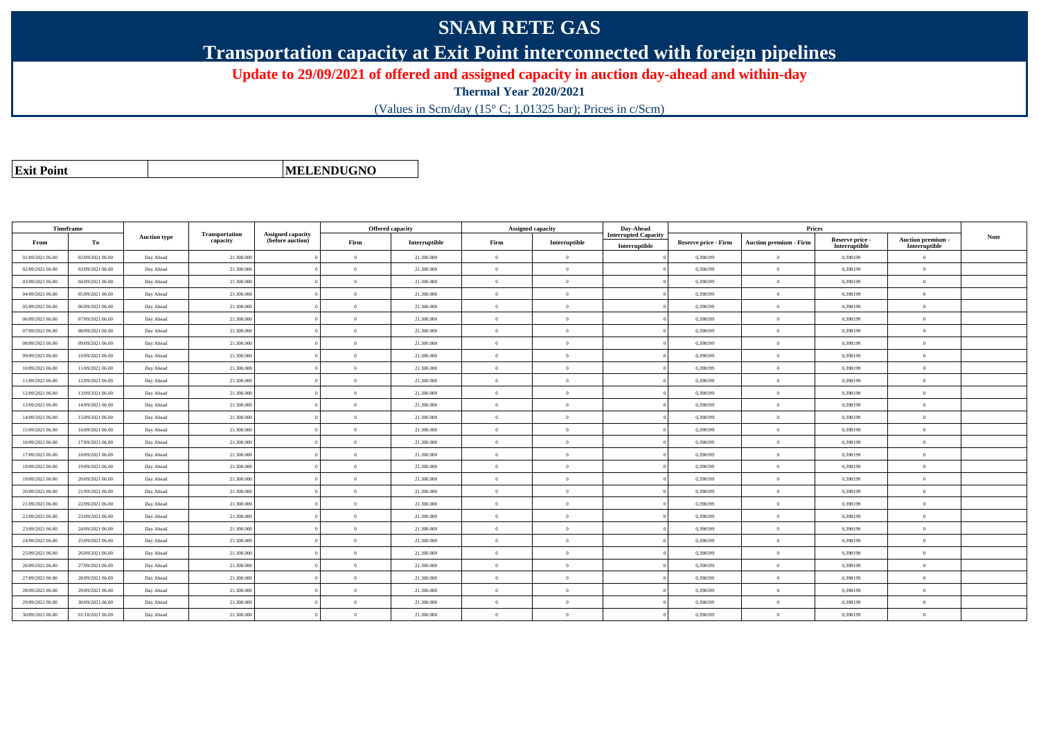## **SNAM RETE GAS**

**Transportation capacity at Exit Point interconnected with foreign pipelines**

**Update to 29/09/2021 of offered and assigned capacity in auction day-ahead and within-day**

**Thermal Year 2020/2021**

(Values in Scm/day (15° C; 1,01325 bar); Prices in c/Scm)

|  | <b>Exit Point</b> |
|--|-------------------|
|  |                   |

**MELENDUGNO**

| <b>Timeframe</b> |                  |                     |            |  | <b>Offered capacity</b>           |                                              |                | <b>Assigned capacity</b> | Day-Ahead | <b>Prices</b> |                                              |                             |                               |                                  |                                         |      |
|------------------|------------------|---------------------|------------|--|-----------------------------------|----------------------------------------------|----------------|--------------------------|-----------|---------------|----------------------------------------------|-----------------------------|-------------------------------|----------------------------------|-----------------------------------------|------|
| From             | To               | <b>Auction type</b> |            |  | <b>Transportation</b><br>capacity | <b>Assigned capacity</b><br>(before auction) | Firm           | Interruptible            | Firm      | Interruptible | <b>Interrupted Capacity</b><br>Interruptible | <b>Reserve price - Firm</b> | <b>Auction premium - Firm</b> | Reserve price -<br>Interruptible | <b>Auction premium</b><br>Interruptible | Note |
| 01/09/2021 06:00 | 02/09/2021 06:00 | Day Ahead           | 21.300.000 |  | $\Omega$                          | 21.300.000                                   | $\Omega$       | $\overline{0}$           |           | 0,398199      | $\overline{0}$                               | 0,398199                    | $\Omega$                      |                                  |                                         |      |
| 02/09/2021 06:00 | 03/09/2021 06:00 | Day Ahead           | 21.300.000 |  | $\Omega$                          | 21.300.000                                   | $\Omega$       | $\Omega$                 |           | 0,398199      | $\overline{0}$                               | 0,398199                    | $\Omega$                      |                                  |                                         |      |
| 03/09/2021 06:00 | 04/09/2021 06:00 | Day Ahead           | 21.300.000 |  | $\theta$                          | 21.300.000                                   | $\overline{0}$ | $\overline{0}$           |           | 0.398199      | $\overline{0}$                               | 0,398199                    | $\mathbf{0}$                  |                                  |                                         |      |
| 04/09/2021 06:00 | 05/09/2021 06:00 | Day Ahead           | 21.300.000 |  | $\Omega$                          | 21.300.000                                   | $\Omega$       | $\Omega$                 |           | 0,398199      | $\overline{0}$                               | 0,398199                    | $\Omega$                      |                                  |                                         |      |
| 05/09/2021 06:00 | 06/09/2021 06:00 | Day Ahead           | 21.300.000 |  | $\Omega$                          | 21.300.000                                   | $\Omega$       | $\theta$                 |           | 0,398199      | $\overline{0}$                               | 0,398199                    | $\Omega$                      |                                  |                                         |      |
| 06/09/2021 06:00 | 07/09/2021 06:00 | Day Ahead           | 21.300.000 |  | $\Omega$                          | 21.300.000                                   | $\Omega$       | $\overline{0}$           |           | 0.398199      | $\overline{0}$                               | 0,398199                    | $\Omega$                      |                                  |                                         |      |
| 07/09/2021 06:00 | 08/09/2021 06:00 | Day Ahead           | 21.300.000 |  | $\Omega$                          | 21.300.000                                   | $\Omega$       | $\Omega$                 |           | 0.398199      | $\theta$                                     | 0,398199                    | $\Omega$                      |                                  |                                         |      |
| 08/09/2021 06:00 | 09/09/2021 06:00 | Day Ahead           | 21.300.000 |  | $\Omega$                          | 21.300.000                                   | $\Omega$       | $\theta$                 |           | 0,398199      | $\overline{0}$                               | 0,398199                    | $\overline{0}$                |                                  |                                         |      |
| 09/09/2021 06:00 | 10/09/2021 06:00 | Day Ahead           | 21.300.000 |  | $\theta$                          | 21.300.000                                   | $\Omega$       | $\overline{0}$           |           | 0,398199      | $\overline{0}$                               | 0,398199                    | $\theta$                      |                                  |                                         |      |
| 10/09/2021 06:00 | 11/09/2021 06:00 | Day Ahead           | 21.300.000 |  | $\theta$                          | 21.300.000                                   | $\overline{0}$ | $\overline{0}$           |           | 0,398199      | $\overline{0}$                               | 0,398199                    | $\mathbf{0}$                  |                                  |                                         |      |
| 11/09/2021 06:00 | 12/09/2021 06:00 | Day Ahead           | 21.300.000 |  | $\Omega$                          | 21.300.000                                   | $\Omega$       | $\Omega$                 |           | 0,398199      | $\overline{0}$                               | 0,398199                    | $\Omega$                      |                                  |                                         |      |
| 12/09/2021 06:00 | 13/09/2021 06:00 | Day Ahead           | 21.300.000 |  | $\Omega$                          | 21.300.000                                   | $\Omega$       | $\theta$                 |           | 0,398199      | $\overline{0}$                               | 0,398199                    | $\overline{0}$                |                                  |                                         |      |
| 13/09/2021 06:00 | 14/09/2021 06:00 | Day Ahead           | 21.300.000 |  | $\Omega$                          | 21.300.000                                   | $\Omega$       | $\theta$                 |           | 0.398199      | $\overline{0}$                               | 0.398199                    | $\Omega$                      |                                  |                                         |      |
| 14/09/2021 06:00 | 15/09/2021 06:00 | Day Ahead           | 21.300.000 |  | $\Omega$                          | 21.300.000                                   | $\Omega$       | $\Omega$                 |           | 0.398199      | $\theta$                                     | 0.398199                    | $\Omega$                      |                                  |                                         |      |
| 15/09/2021 06:00 | 16/09/2021 06:00 | Day Ahead           | 21.300.000 |  | $\Omega$                          | 21.300.000                                   | $\overline{0}$ | $\overline{0}$           |           | 0.398199      | $\overline{0}$                               | 0,398199                    | $\overline{0}$                |                                  |                                         |      |
| 16/09/2021 06:00 | 17/09/2021 06:00 | Day Ahead           | 21.300.000 |  | $\theta$                          | 21.300.000                                   | $\Omega$       | $\theta$                 |           | 0,398199      | $\overline{0}$                               | 0,398199                    | $\Omega$                      |                                  |                                         |      |
| 17/09/2021 06:00 | 18/09/2021 06:00 | Day Ahead           | 21.300.000 |  | $\Omega$                          | 21.300.000                                   | $\theta$       | $\theta$                 |           | 0,398199      | $\overline{0}$                               | 0,398199                    | $\mathbf{0}$                  |                                  |                                         |      |
| 18/09/2021 06:00 | 19/09/2021 06:00 | Day Ahead           | 21.300.000 |  | $\theta$                          | 21.300.000                                   | $\Omega$       | $\theta$                 |           | 0,398199      | $\overline{0}$                               | 0,398199                    | $\Omega$                      |                                  |                                         |      |
| 19/09/2021 06:00 | 20/09/2021 06:00 | Day Ahead           | 21.300.00  |  | $\theta$                          | 21.300.000                                   | $\overline{0}$ | $\overline{0}$           |           | 0,398199      | $\overline{0}$                               | 0,398199                    | $\overline{0}$                |                                  |                                         |      |
| 20/09/2021 06:00 | 21/09/2021 06:00 | Day Ahead           | 21,300,000 |  | $\theta$                          | 21.300.000                                   | $\overline{0}$ | $\overline{0}$           |           | 0.398199      | $\overline{0}$                               | 0.398199                    | $\theta$                      |                                  |                                         |      |
| 21/09/2021 06:00 | 22/09/2021 06:00 | Day Ahead           | 21.300.000 |  | $\Omega$                          | 21.300.000                                   | $\Omega$       | $\Omega$                 |           | 0.398199      | $\overline{0}$                               | 0.398199                    | $\Omega$                      |                                  |                                         |      |
| 22/09/2021 06:00 | 23/09/2021 06:00 | Day Ahead           | 21.300.000 |  | $\Omega$                          | 21.300.000                                   | $\Omega$       | $\Omega$                 |           | 0,398199      | $\theta$                                     | 0,398199                    | $\Omega$                      |                                  |                                         |      |
| 23/09/2021 06:00 | 24/09/2021 06:00 | Day Ahead           | 21.300.000 |  | $\theta$                          | 21.300.000                                   | $\Omega$       | $\theta$                 |           | 0,398199      | $\overline{0}$                               | 0,398199                    | $\Omega$                      |                                  |                                         |      |
| 24/09/2021 06:00 | 25/09/2021 06:00 | Day Ahead           | 21.300.000 |  | $\Omega$                          | 21.300.000                                   | $\Omega$       | $\theta$                 |           | 0,398199      | $\overline{0}$                               | 0,398199                    | $\overline{0}$                |                                  |                                         |      |
| 25/09/2021 06:00 | 26/09/2021 06:00 | Day Ahead           | 21.300.000 |  | $\Omega$                          | 21.300.000                                   | $\Omega$       | $\Omega$                 |           | 0,398199      | $\theta$                                     | 0,398199                    | $\overline{0}$                |                                  |                                         |      |
| 26/09/2021 06:00 | 27/09/2021 06:00 | Day Ahead           | 21.300.000 |  | $\theta$                          | 21.300.000                                   | $\overline{0}$ | $\overline{0}$           |           | 0,398199      | $\overline{0}$                               | 0,398199                    | $\overline{0}$                |                                  |                                         |      |
| 27/09/2021 06:00 | 28/09/2021 06:00 | Day Ahead           | 21,300,000 |  | $\Omega$                          | 21.300.000                                   | $\overline{0}$ | $\overline{0}$           |           | 0.398199      | $\overline{0}$                               | 0.398199                    | $\theta$                      |                                  |                                         |      |
| 28/09/2021 06:00 | 29/09/2021 06:00 | Day Ahead           | 21.300.00  |  | $\mathbf{0}$                      | 21.300.000                                   | $\overline{0}$ | $\overline{0}$           |           | 0,398199      | $\overline{0}$                               | 0,398199                    | $\mathbf{0}$                  |                                  |                                         |      |
| 29/09/2021 06:00 | 30/09/2021 06:00 | Day Ahead           | 21.300.000 |  | $\Omega$                          | 21.300.000                                   | $\Omega$       | $\Omega$                 |           | 0,398199      | $\Omega$                                     | 0,398199                    | $\Omega$                      |                                  |                                         |      |
| 30/09/2021 06:00 | 01/10/2021 06:00 | Day Ahead           | 21.300,000 |  | $\Omega$                          | 21.300.000                                   | $\Omega$       | $\theta$                 |           | 0.398199      | $\Omega$                                     | 0.398199                    | $\Omega$                      |                                  |                                         |      |